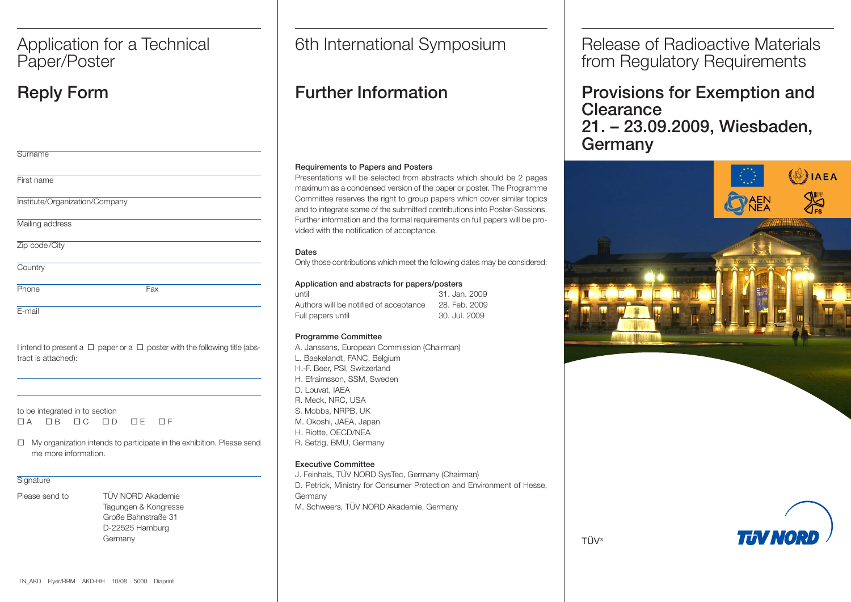## Paper/Poster

| Surname                        |     |
|--------------------------------|-----|
| First name                     |     |
| Institute/Organization/Company |     |
| Mailing address                |     |
| Zip code/City                  |     |
| Country                        |     |
| Phone                          | Fax |
| E-mail                         |     |

| I intend to present a $\Box$ paper or a $\Box$ poster with the following title (abs- |  |  |  |  |  |
|--------------------------------------------------------------------------------------|--|--|--|--|--|
| tract is attached):                                                                  |  |  |  |  |  |

to be integrated in to section  $\Box$  A  $\Box$ OB OC OD OE OF

□ My organization intends to participate in the exhibition. Please send me more information.

## **Signature**

Please send to TÜV NORD Akademie

Tagungen & Kongresse Große Bahnstraße 31 D-22525 Hamburg Germany

Application for a Technical | 6th International Symposium

## Reply Form Further Information

## Requirements to Papers and Posters

Presentations will be selected from abstracts which should be 2 pages maximum as a condensed version of the paper or poster. The Programme Committee reserves the right to group papers which cover similar topics and to integrate some of the submitted contributions into Poster-Sessions. Further information and the formal requirements on full papers will be provided with the notification of acceptance.

## Dates

Only those contributions which meet the following dates may be considered:

## Application and abstracts for papers/posters

| until                                  | 31. Jan. 2009 |
|----------------------------------------|---------------|
| Authors will be notified of acceptance | 28. Feb. 2009 |
| Full papers until                      | 30. Jul. 2009 |

## Programme Committee

A. Janssens, European Commission (Chairman) L. Baekelandt, FANC, Belgium H.-F. Beer, PSI, Switzerland H. Efraimsson, SSM, Sweden D. Louvat, IAEA R. Meck, NRC, USA S. Mobbs, NRPB, UK M. Okoshi, JAEA, Japan H. Riotte, OECD/NEA R. Sefzig, BMU, Germany

## Executive Committee

J. Feinhals, TÜV NORD SysTec, Germany (Chairman) D. Petrick, Ministry for Consumer Protection and Environment of Hesse, Germany M. Schweers, TÜV NORD Akademie, Germany

Release of Radioactive Materials from Regulatory Requirements

Provisions for Exemption and **Clearance** 21. – 23.09.2009, Wiesbaden, Germany



THVNOR